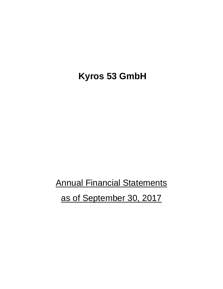**Kyros 53 GmbH**

**Annual Financial Statements** as of September 30, 2017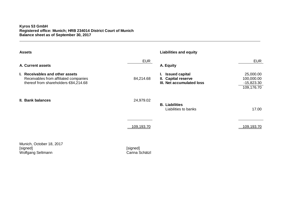## **Kyros 53 GmbH Registered office: Munich; HRB 234014 District Court of Munich Balance sheet as of September 30, 2017**

| <b>Assets</b>                                                                                                    |                            | <b>Liabilities and equity</b>                                                   |                                                       |
|------------------------------------------------------------------------------------------------------------------|----------------------------|---------------------------------------------------------------------------------|-------------------------------------------------------|
| A. Current assets                                                                                                | <b>EUR</b>                 | A. Equity                                                                       | <b>EUR</b>                                            |
| I. Receivables and other assets<br>Receivables from affiliated companies<br>thereof from shareholders €84,214.68 | 84,214.68                  | <b>Issued capital</b><br>L.<br>II. Capital reserve<br>III. Net accumulated loss | 25,000.00<br>100,000.00<br>$-15,823.30$<br>109,176.70 |
| II. Bank balances                                                                                                | 24,979.02                  | <b>B.</b> Liabilities<br>Liabilities to banks                                   | 17.00                                                 |
|                                                                                                                  | <u>109,193.70</u>          |                                                                                 | <u>109,193.70</u>                                     |
| Munich, October 18, 2017<br>[signed]<br>Wolfgang Seltmann                                                        | [signed]<br>Carina Schätzl |                                                                                 |                                                       |